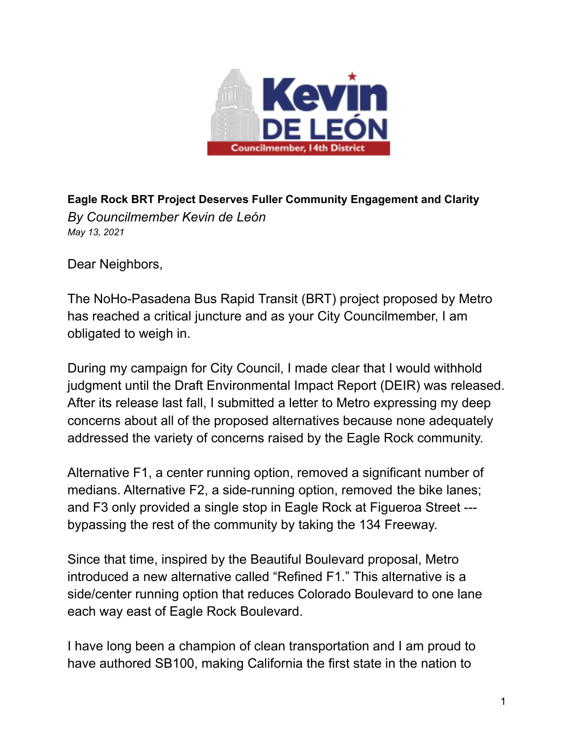

**Eagle Rock BRT Project Deserves Fuller Community Engagement and Clarity** *By Councilmember Kevin de León May 13, 2021*

Dear Neighbors,

The NoHo-Pasadena Bus Rapid Transit (BRT) project proposed by Metro has reached a critical juncture and as your City Councilmember, I am obligated to weigh in.

During my campaign for City Council, I made clear that I would withhold judgment until the Draft Environmental Impact Report (DEIR) was released. After its release last fall, I submitted a letter to Metro expressing my deep concerns about all of the proposed alternatives because none adequately addressed the variety of concerns raised by the Eagle Rock community.

Alternative F1, a center running option, removed a significant number of medians. Alternative F2, a side-running option, removed the bike lanes; and F3 only provided a single stop in Eagle Rock at Figueroa Street -- bypassing the rest of the community by taking the 134 Freeway.

Since that time, inspired by the Beautiful Boulevard proposal, Metro introduced a new alternative called "Refined F1." This alternative is a side/center running option that reduces Colorado Boulevard to one lane each way east of Eagle Rock Boulevard.

I have long been a champion of clean transportation and I am proud to have authored SB100, making California the first state in the nation to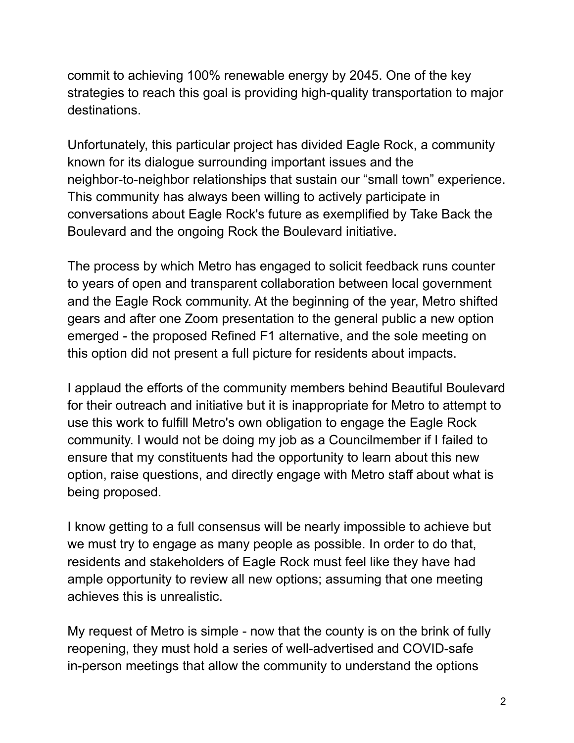commit to achieving 100% renewable energy by 2045. One of the key strategies to reach this goal is providing high-quality transportation to major destinations.

Unfortunately, this particular project has divided Eagle Rock, a community known for its dialogue surrounding important issues and the neighbor-to-neighbor relationships that sustain our "small town" experience. This community has always been willing to actively participate in conversations about Eagle Rock's future as exemplified by Take Back the Boulevard and the ongoing Rock the Boulevard initiative.

The process by which Metro has engaged to solicit feedback runs counter to years of open and transparent collaboration between local government and the Eagle Rock community. At the beginning of the year, Metro shifted gears and after one Zoom presentation to the general public a new option emerged - the proposed Refined F1 alternative, and the sole meeting on this option did not present a full picture for residents about impacts.

I applaud the efforts of the community members behind Beautiful Boulevard for their outreach and initiative but it is inappropriate for Metro to attempt to use this work to fulfill Metro's own obligation to engage the Eagle Rock community. I would not be doing my job as a Councilmember if I failed to ensure that my constituents had the opportunity to learn about this new option, raise questions, and directly engage with Metro staff about what is being proposed.

I know getting to a full consensus will be nearly impossible to achieve but we must try to engage as many people as possible. In order to do that, residents and stakeholders of Eagle Rock must feel like they have had ample opportunity to review all new options; assuming that one meeting achieves this is unrealistic.

My request of Metro is simple - now that the county is on the brink of fully reopening, they must hold a series of well-advertised and COVID-safe in-person meetings that allow the community to understand the options